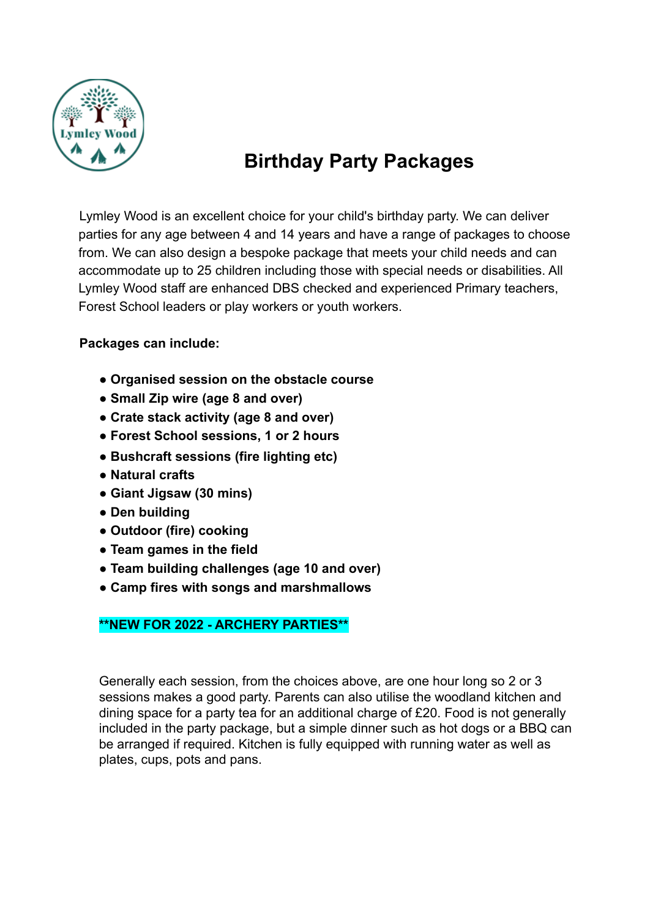

# **Birthday Party Packages**

Lymley Wood is an excellent choice for your child's birthday party. We can deliver parties for any age between 4 and 14 years and have a range of packages to choose from. We can also design a bespoke package that meets your child needs and can accommodate up to 25 children including those with special needs or disabilities. All Lymley Wood staff are enhanced DBS checked and experienced Primary teachers, Forest School leaders or play workers or youth workers.

### **Packages can include:**

- **● Organised session on the obstacle course**
- **● Small Zip wire (age 8 and over)**
- **● Crate stack activity (age 8 and over)**
- **● Forest School sessions, 1 or 2 hours**
- **● Bushcraft sessions (fire lighting etc)**
- **● Natural crafts**
- **● Giant Jigsaw (30 mins)**
- **● Den building**
- **● Outdoor (fire) cooking**
- **● Team games in the field**
- **● Team building challenges (age 10 and over)**
- **● Camp fires with songs and marshmallows**

#### **\*\*NEW FOR 2022 - ARCHERY PARTIES\*\***

Generally each session, from the choices above, are one hour long so 2 or 3 sessions makes a good party. Parents can also utilise the woodland kitchen and dining space for a party tea for an additional charge of £20. Food is not generally included in the party package, but a simple dinner such as hot dogs or a BBQ can be arranged if required. Kitchen is fully equipped with running water as well as plates, cups, pots and pans.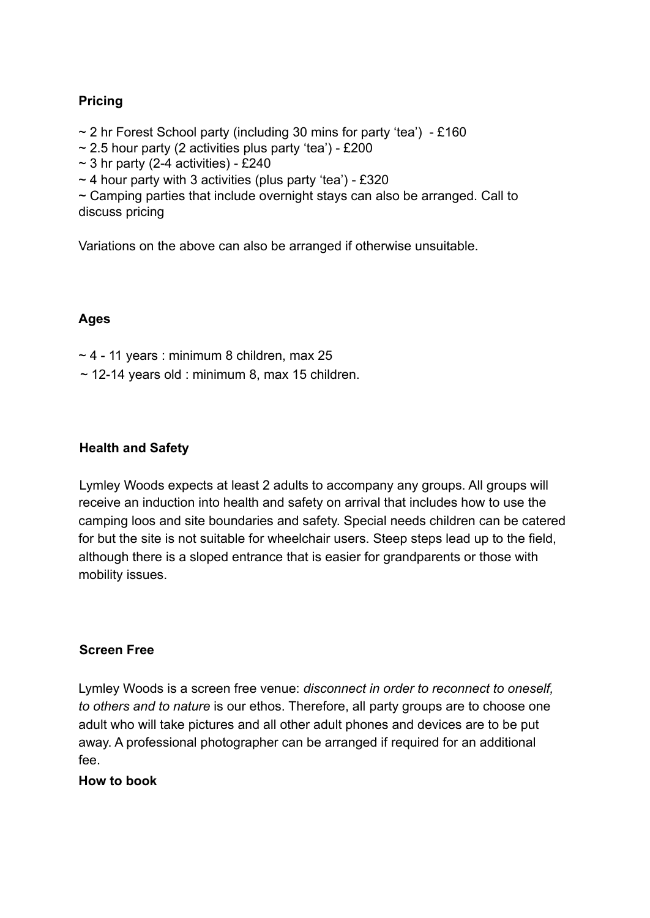#### **Pricing**

 $\sim$  2 hr Forest School party (including 30 mins for party 'tea') - £160

 $\sim$  2.5 hour party (2 activities plus party 'tea') - £200

 $\sim$  3 hr party (2-4 activities) - £240

 $\sim$  4 hour party with 3 activities (plus party 'tea') - £320

 $\sim$  Camping parties that include overnight stays can also be arranged. Call to discuss pricing

Variations on the above can also be arranged if otherwise unsuitable.

#### **Ages**

 $\sim$  4 - 11 years : minimum 8 children, max 25

 $\sim$  12-14 years old : minimum 8, max 15 children.

#### **Health and Safety**

Lymley Woods expects at least 2 adults to accompany any groups. All groups will receive an induction into health and safety on arrival that includes how to use the camping loos and site boundaries and safety. Special needs children can be catered for but the site is not suitable for wheelchair users. Steep steps lead up to the field, although there is a sloped entrance that is easier for grandparents or those with mobility issues.

#### **Screen Free**

Lymley Woods is a screen free venue: *disconnect in order to reconnect to oneself, to others and to nature* is our ethos. Therefore, all party groups are to choose one adult who will take pictures and all other adult phones and devices are to be put away. A professional photographer can be arranged if required for an additional fee.

**How to book**